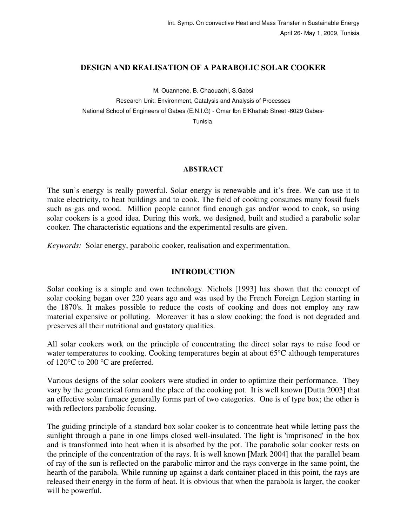## **DESIGN AND REALISATION OF A PARABOLIC SOLAR COOKER**

M. Ouannene, B. Chaouachi, S.Gabsi

Research Unit: Environment, Catalysis and Analysis of Processes National School of Engineers of Gabes (E.N.I.G) - Omar Ibn ElKhattab Street -6029 Gabes-Tunisia.

### **ABSTRACT**

The sun's energy is really powerful. Solar energy is renewable and it's free. We can use it to make electricity, to heat buildings and to cook. The field of cooking consumes many fossil fuels such as gas and wood. Million people cannot find enough gas and/or wood to cook, so using solar cookers is a good idea. During this work, we designed, built and studied a parabolic solar cooker. The characteristic equations and the experimental results are given.

*Keywords:* Solar energy, parabolic cooker, realisation and experimentation.

# **INTRODUCTION**

Solar cooking is a simple and own technology. Nichols [1993] has shown that the concept of solar cooking began over 220 years ago and was used by the French Foreign Legion starting in the 1870's. It makes possible to reduce the costs of cooking and does not employ any raw material expensive or polluting. Moreover it has a slow cooking; the food is not degraded and preserves all their nutritional and gustatory qualities.

All solar cookers work on the principle of concentrating the direct solar rays to raise food or water temperatures to cooking. Cooking temperatures begin at about 65<sup>o</sup>C although temperatures of 120°C to 200 °C are preferred.

Various designs of the solar cookers were studied in order to optimize their performance. They vary by the geometrical form and the place of the cooking pot. It is well known [Dutta 2003] that an effective solar furnace generally forms part of two categories. One is of type box; the other is with reflectors parabolic focusing.

The guiding principle of a standard box solar cooker is to concentrate heat while letting pass the sunlight through a pane in one limps closed well-insulated. The light is 'imprisoned' in the box and is transformed into heat when it is absorbed by the pot. The parabolic solar cooker rests on the principle of the concentration of the rays. It is well known [Mark 2004] that the parallel beam of ray of the sun is reflected on the parabolic mirror and the rays converge in the same point, the hearth of the parabola. While running up against a dark container placed in this point, the rays are released their energy in the form of heat. It is obvious that when the parabola is larger, the cooker will be powerful.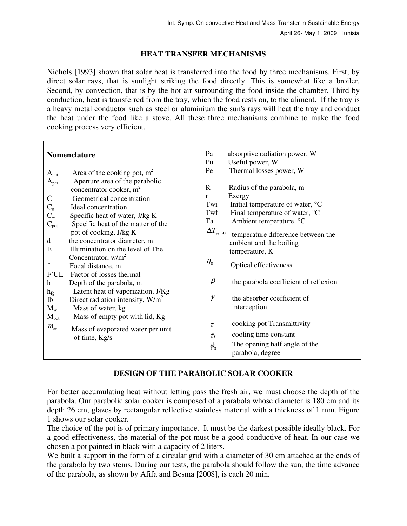# **HEAT TRANSFER MECHANISMS**

Nichols [1993] shown that solar heat is transferred into the food by three mechanisms. First, by direct solar rays, that is sunlight striking the food directly. This is somewhat like a broiler. Second, by convection, that is by the hot air surrounding the food inside the chamber. Third by conduction, heat is transferred from the tray, which the food rests on, to the aliment. If the tray is a heavy metal conductor such as steel or aluminium the sun's rays will heat the tray and conduct the heat under the food like a stove. All these three mechanisms combine to make the food cooking process very efficient.

| <b>Nomenclature</b>                                                                                          |                                                                                                                                                                                                                                                                                                                        | Pa<br>Pu                                            | absorptive radiation power, W<br>Useful power, W                                                                                                                                                                                                        |
|--------------------------------------------------------------------------------------------------------------|------------------------------------------------------------------------------------------------------------------------------------------------------------------------------------------------------------------------------------------------------------------------------------------------------------------------|-----------------------------------------------------|---------------------------------------------------------------------------------------------------------------------------------------------------------------------------------------------------------------------------------------------------------|
| $A_{pot}$<br>$A_{par}$<br>$\mathbf C$<br>$\mathop C_{\mathrm{g}}\limits^{\mathrm{C}}$<br>$C_{pot}$<br>d<br>E | Area of the cooking pot, $m2$<br>Aperture area of the parabolic<br>concentrator cooker, $m2$<br>Geometrical concentration<br>Ideal concentration<br>Specific heat of water, J/kg K<br>Specific heat of the matter of the<br>pot of cooking, J/kg K<br>the concentrator diameter, m<br>Illumination on the level of The | Pe<br>$\mathbf{R}$<br>r<br>Twi<br>Twf<br>Ta         | Thermal losses power, W<br>Radius of the parabola, m<br>Exergy<br>Initial temperature of water, °C<br>Final temperature of water, °C<br>Ambient temperature, °C<br>$\Delta T_{\infty-95}$ temperature difference between the<br>ambient and the boiling |
| f                                                                                                            | Concentrator, $w/m^2$<br>Focal distance, m                                                                                                                                                                                                                                                                             | $\eta_{\scriptscriptstyle 0}$                       | temperature, K<br>Optical effectiveness                                                                                                                                                                                                                 |
| F'UL<br>$\mathbf h$<br>$h_{\mathrm{fg}}$<br>Ib<br>$M_{w}$<br>$M_{pot}$                                       | Factor of losses thermal<br>Depth of the parabola, m<br>Latent heat of vaporization, J/Kg<br>Direct radiation intensity, $W/m^2$<br>Mass of water, kg<br>Mass of empty pot with lid, Kg                                                                                                                                | $\rho$                                              | the parabola coefficient of reflexion                                                                                                                                                                                                                   |
|                                                                                                              |                                                                                                                                                                                                                                                                                                                        | γ                                                   | the absorber coefficient of<br>interception                                                                                                                                                                                                             |
| $\dot{m}_{ev}$                                                                                               | Mass of evaporated water per unit<br>of time, Kg/s                                                                                                                                                                                                                                                                     | $\tau$<br>$\tau_0$<br>$\phi_{\scriptscriptstyle 0}$ | cooking pot Transmittivity<br>cooling time constant<br>The opening half angle of the<br>parabola, degree                                                                                                                                                |

# **DESIGN OF THE PARABOLIC SOLAR COOKER**

For better accumulating heat without letting pass the fresh air, we must choose the depth of the parabola. Our parabolic solar cooker is composed of a parabola whose diameter is 180 cm and its depth 26 cm, glazes by rectangular reflective stainless material with a thickness of 1 mm. Figure 1 shows our solar cooker.

The choice of the pot is of primary importance. It must be the darkest possible ideally black. For a good effectiveness, the material of the pot must be a good conductive of heat. In our case we chosen a pot painted in black with a capacity of 2 liters.

We built a support in the form of a circular grid with a diameter of 30 cm attached at the ends of the parabola by two stems. During our tests, the parabola should follow the sun, the time advance of the parabola, as shown by Afifa and Besma [2008], is each 20 min.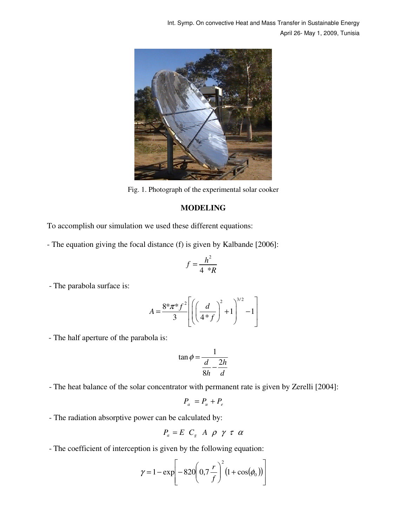

Fig. 1. Photograph of the experimental solar cooker

# **MODELING**

To accomplish our simulation we used these different equations:

- The equation giving the focal distance (f) is given by Kalbande [2006]:

$$
f = \frac{h^2}{4 \cdot kR}
$$

- The parabola surface is:

$$
A = \frac{8 \pi \pi^* f^2}{3} \left[ \left( \left( \frac{d}{4 \pi f} \right)^2 + 1 \right)^{3/2} - 1 \right]
$$

- The half aperture of the parabola is:

$$
\tan \phi = \frac{1}{\frac{d}{8h} - \frac{2h}{d}}
$$

- The heat balance of the solar concentrator with permanent rate is given by Zerelli [2004]:

$$
P_a = P_u + P_e
$$

- The radiation absorptive power can be calculated by:

$$
P_a = E \ C_g \ A \ \rho \ \gamma \ \tau \ \alpha
$$

- The coefficient of interception is given by the following equation:

$$
\gamma = 1 - \exp\left[-820\left(0, 7\frac{r}{f}\right)^2 \left(1 + \cos(\phi_0)\right)\right]
$$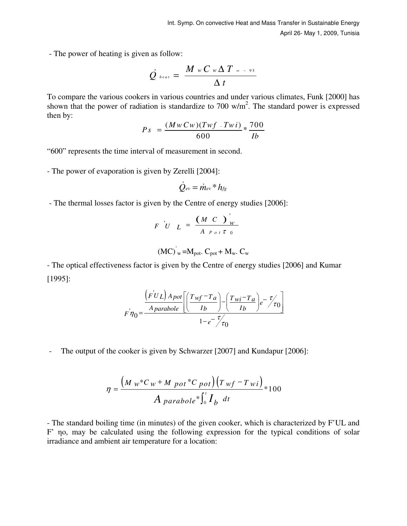- The power of heating is given as follow:

$$
\dot{Q}_{heat} = \frac{M_w C_w \Delta T_{\infty - 95}}{\Delta t}
$$

To compare the various cookers in various countries and under various climates, Funk [2000] has shown that the power of radiation is standardize to 700  $w/m<sup>2</sup>$ . The standard power is expressed then by:

$$
Ps = \frac{(MwCw)(Twf - Twi) * 700}{600} * \frac{700}{Ib}
$$

"600" represents the time interval of measurement in second.

- The power of evaporation is given by Zerelli [2004]:

$$
\dot{Q}_{ev} = \dot{m}_{ev} * h_{fg}
$$

- The thermal losses factor is given by the Centre of energy studies [2006]:

$$
F \cup L = \frac{(M \ C)_{W}^{T}}{A P \circ t \tau_{0}}
$$

$$
(\text{MC})^{\prime}{}_{\text{w}} = M_{\text{pot}}. C_{\text{pot}} + M_{\text{w}}. C_{\text{w}}
$$

- The optical effectiveness factor is given by the Centre of energy studies [2006] and Kumar [1995]:

$$
F\eta_0 = \frac{\left(FU_L\right) A_{pot}}{A_{parabolic}} \left[ \left(\frac{T_{wf} - T_a}{I_b}\right) - \left(\frac{T_{wi} - T_a}{I_b}\right) e^{-\frac{T}{\gamma}} \tau_0 \right]
$$

$$
1 - e^{-\frac{T}{\gamma}} \tau_0
$$

- The output of the cooker is given by Schwarzer [2007] and Kundapur [2006]:

$$
\eta = \frac{\left(M_w * C_w + M_{pot} * C_{pot}\right)\left(T_w f - T_w i\right)}{A_{parabolic} * \int_0^t I_b dt} * 100
$$

- The standard boiling time (in minutes) of the given cooker, which is characterized by F'UL and F' ηo, may be calculated using the following expression for the typical conditions of solar irradiance and ambient air temperature for a location: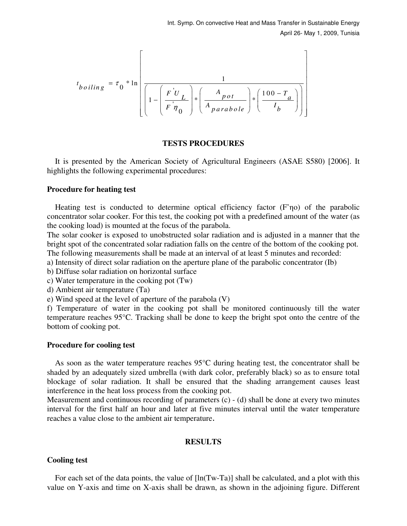$$
t_{boiling} = \tau_0 * \ln \left[ \frac{1}{1 - \left( \frac{F^{'}U_L}{F^{'}} \right) * \left( \frac{A_{pot}}{A_{parabolic}} \right) * \left( \frac{100 - T_a}{I_b} \right) \right]}
$$

### **TESTS PROCEDURES**

 It is presented by the American Society of Agricultural Engineers (ASAE S580) [2006]. It highlights the following experimental procedures:

#### **Procedure for heating test**

 Heating test is conducted to determine optical efficiency factor (F'ηo) of the parabolic concentrator solar cooker. For this test, the cooking pot with a predefined amount of the water (as the cooking load) is mounted at the focus of the parabola.

The solar cooker is exposed to unobstructed solar radiation and is adjusted in a manner that the bright spot of the concentrated solar radiation falls on the centre of the bottom of the cooking pot. The following measurements shall be made at an interval of at least 5 minutes and recorded:

a) Intensity of direct solar radiation on the aperture plane of the parabolic concentrator (Ib)

b) Diffuse solar radiation on horizontal surface

c) Water temperature in the cooking pot (Tw)

d) Ambient air temperature (Ta)

e) Wind speed at the level of aperture of the parabola (V)

f) Temperature of water in the cooking pot shall be monitored continuously till the water temperature reaches 95°C. Tracking shall be done to keep the bright spot onto the centre of the bottom of cooking pot.

#### **Procedure for cooling test**

 As soon as the water temperature reaches 95°C during heating test, the concentrator shall be shaded by an adequately sized umbrella (with dark color, preferably black) so as to ensure total blockage of solar radiation. It shall be ensured that the shading arrangement causes least interference in the heat loss process from the cooking pot.

Measurement and continuous recording of parameters (c) - (d) shall be done at every two minutes interval for the first half an hour and later at five minutes interval until the water temperature reaches a value close to the ambient air temperature.

### **RESULTS**

### **Cooling test**

 For each set of the data points, the value of [ln(Tw-Ta)] shall be calculated, and a plot with this value on Y-axis and time on X-axis shall be drawn, as shown in the adjoining figure. Different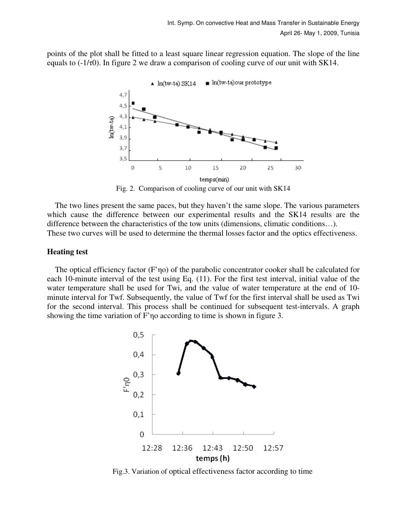points of the plot shall be fitted to a least square linear regression equation. The slope of the line equals to  $(-1/\tau 0)$ . In figure 2 we draw a comparison of cooling curve of our unit with SK14.



Fig. 2. Comparison of cooling curve of our unit with SK14

 The two lines present the same paces, but they haven't the same slope. The various parameters which cause the difference between our experimental results and the SK14 results are the difference between the characteristics of the tow units (dimensions, climatic conditions…). These two curves will be used to determine the thermal losses factor and the optics effectiveness.

#### **Heating test**

 The optical efficiency factor (F'ηo) of the parabolic concentrator cooker shall be calculated for each 10-minute interval of the test using Eq. (11). For the first test interval, initial value of the water temperature shall be used for Twi, and the value of water temperature at the end of 10 minute interval for Twf. Subsequently, the value of Twf for the first interval shall be used as Twi for the second interval. This process shall be continued for subsequent test-intervals. A graph showing the time variation of F'ηo according to time is shown in figure 3.



Fig.3. Variation of optical effectiveness factor according to time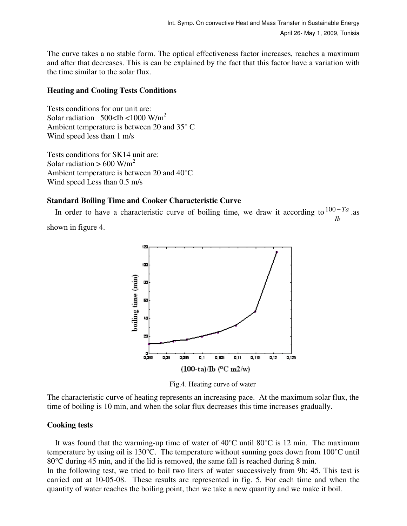The curve takes a no stable form. The optical effectiveness factor increases, reaches a maximum and after that decreases. This is can be explained by the fact that this factor have a variation with the time similar to the solar flux.

# **Heating and Cooling Tests Conditions**

Tests conditions for our unit are: Solar radiation  $500$ <Ib <1000 W/m<sup>2</sup> Ambient temperature is between 20 and 35° C Wind speed less than 1 m/s

Tests conditions for SK14 unit are: Solar radiation  $> 600$  W/m<sup>2</sup> Ambient temperature is between 20 and 40°C Wind speed Less than 0.5 m/s

# **Standard Boiling Time and Cooker Characteristic Curve**

In order to have a characteristic curve of boiling time, we draw it according to  $\frac{100 - Ta}{a}$ *Ib*  $\frac{-Ta}{-}$ .as shown in figure 4.



Fig.4. Heating curve of water

The characteristic curve of heating represents an increasing pace. At the maximum solar flux, the time of boiling is 10 min, and when the solar flux decreases this time increases gradually.

# **Cooking tests**

It was found that the warming-up time of water of  $40^{\circ}$ C until  $80^{\circ}$ C is 12 min. The maximum temperature by using oil is 130°C. The temperature without sunning goes down from 100°C until 80°C during 45 min, and if the lid is removed, the same fall is reached during 8 min. In the following test, we tried to boil two liters of water successively from 9h: 45. This test is carried out at 10-05-08. These results are represented in fig. 5. For each time and when the quantity of water reaches the boiling point, then we take a new quantity and we make it boil.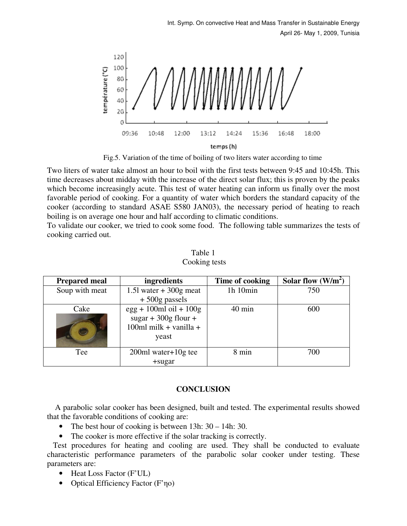

Fig.5. Variation of the time of boiling of two liters water according to time

Two liters of water take almost an hour to boil with the first tests between 9:45 and 10:45h. This time decreases about midday with the increase of the direct solar flux; this is proven by the peaks which become increasingly acute. This test of water heating can inform us finally over the most favorable period of cooking. For a quantity of water which borders the standard capacity of the cooker (according to standard ASAE S580 JAN03), the necessary period of heating to reach boiling is on average one hour and half according to climatic conditions.

To validate our cooker, we tried to cook some food. The following table summarizes the tests of cooking carried out.

| <b>Prepared meal</b> | ingredients                                                                             | Time of cooking  | Solar flow $(W/m^2)$ |
|----------------------|-----------------------------------------------------------------------------------------|------------------|----------------------|
| Soup with meat       | 1.51 water $+300g$ meat                                                                 | 1h 10min         | 750                  |
|                      | $+500$ g passels                                                                        |                  |                      |
| Cake                 | $egg + 100ml$ oil + $100g$<br>sugar + $300g$ flour +<br>100ml milk + vanilla +<br>yeast | $40 \text{ min}$ | 600                  |
| Tee                  | $200ml water+10g$ tee                                                                   | 8 min            | 700                  |
|                      | $+$ sugar                                                                               |                  |                      |

Table 1 Cooking tests

# **CONCLUSION**

 A parabolic solar cooker has been designed, built and tested. The experimental results showed that the favorable conditions of cooking are:

- The best hour of cooking is between 13h:  $30 14$ h: 30.
- The cooker is more effective if the solar tracking is correctly.

 Test procedures for heating and cooling are used. They shall be conducted to evaluate characteristic performance parameters of the parabolic solar cooker under testing. These parameters are:

- Heat Loss Factor (F'UL)
- Optical Efficiency Factor (F'ηo)